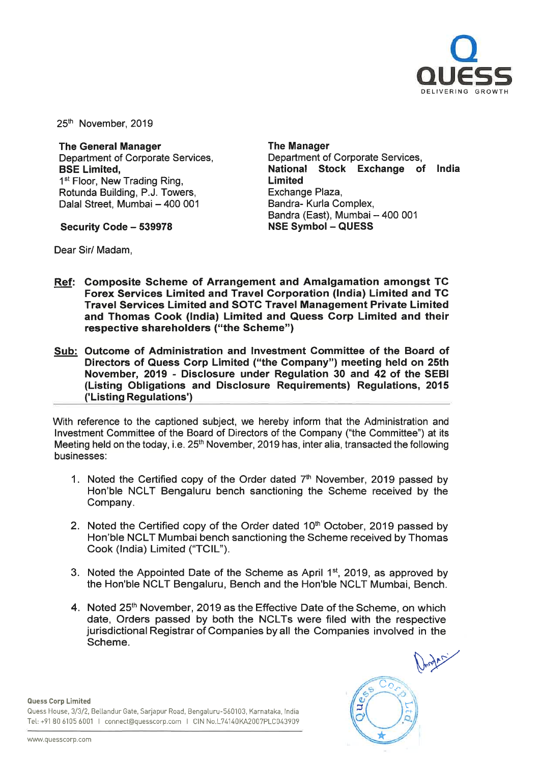

25<sup>th</sup> November, 2019

The General Manager Department of Corporate Services, BSE Limited, 1<sup>st</sup> Floor, New Trading Ring, Rotunda Building, P.J. Towers, Dalal Street, Mumbai - 400 001

Security Code - 539978

The Manager Department of Corporate Services, National Stock Exchange of India Limited Exchange Plaza, Sandra- Kurla Complex, Bandra (East), Mumbai - 400 001 NSE Symbol - QUESS

Dear Sir/ Madam,

- Ref: Composite Scheme of Arrangement and Amalgamation amongst TC Forex Services Limited and Travel Corporation (India) Limited and TC Travel Services Limited and SOTC Travel Management Private Limited and Thomas Cook (India) Limited and Quess Corp Limited and their respective shareholders ("the Scheme")
- Sub: Outcome of Administration and Investment Committee of the Board of Directors of Quess Corp Limited ("the Company") meeting held on 25th November, 2019 - Disclosure under Regulation 30 and 42 of the SEBI (Listing Obligations and Disclosure Requirements) Regulations, 2015 ('Listing Regulations')

With reference to the captioned subject, we hereby inform that the Administration and Investment Committee of the Board of Directors of the Company ("the Committee") at its Meeting held on the today, i.e. 25<sup>th</sup> November, 2019 has, inter alia, transacted the following businesses:

- 1. Noted the Certified copy of the Order dated  $7<sup>th</sup>$  November, 2019 passed by Hon'ble NCLT Bengaluru bench sanctioning the Scheme received by the Company.
- 2. Noted the Certified copy of the Order dated  $10<sup>th</sup>$  October, 2019 passed by Hon'ble NCLT Mumbai bench sanctioning the Scheme received by Thomas Cook (India) Limited ("TCIL").
- 3. Noted the Appointed Date of the Scheme as April 1st, 2019, as approved by the Hon'ble NCLT Bengaluru, Bench and the Hon'ble NCLT Mumbai, Bench.
- 4. Noted 25<sup>th</sup> November, 2019 as the Effective Date of the Scheme, on which date, Orders passed by both the NCLTs were filed with the respective jurisdictional Registrar of Companies by all the Companies involved in the Scheme.

Þ

Quess Corp Limited

Quess House, 3/3/2. Bellandur Gate, Sarjapur Road, Bengaluru-560103, Karnataka, India Tel: +91 80 6105 6001 I connect@quesscorp.com I CIN No.L74140KA2007PLC043909